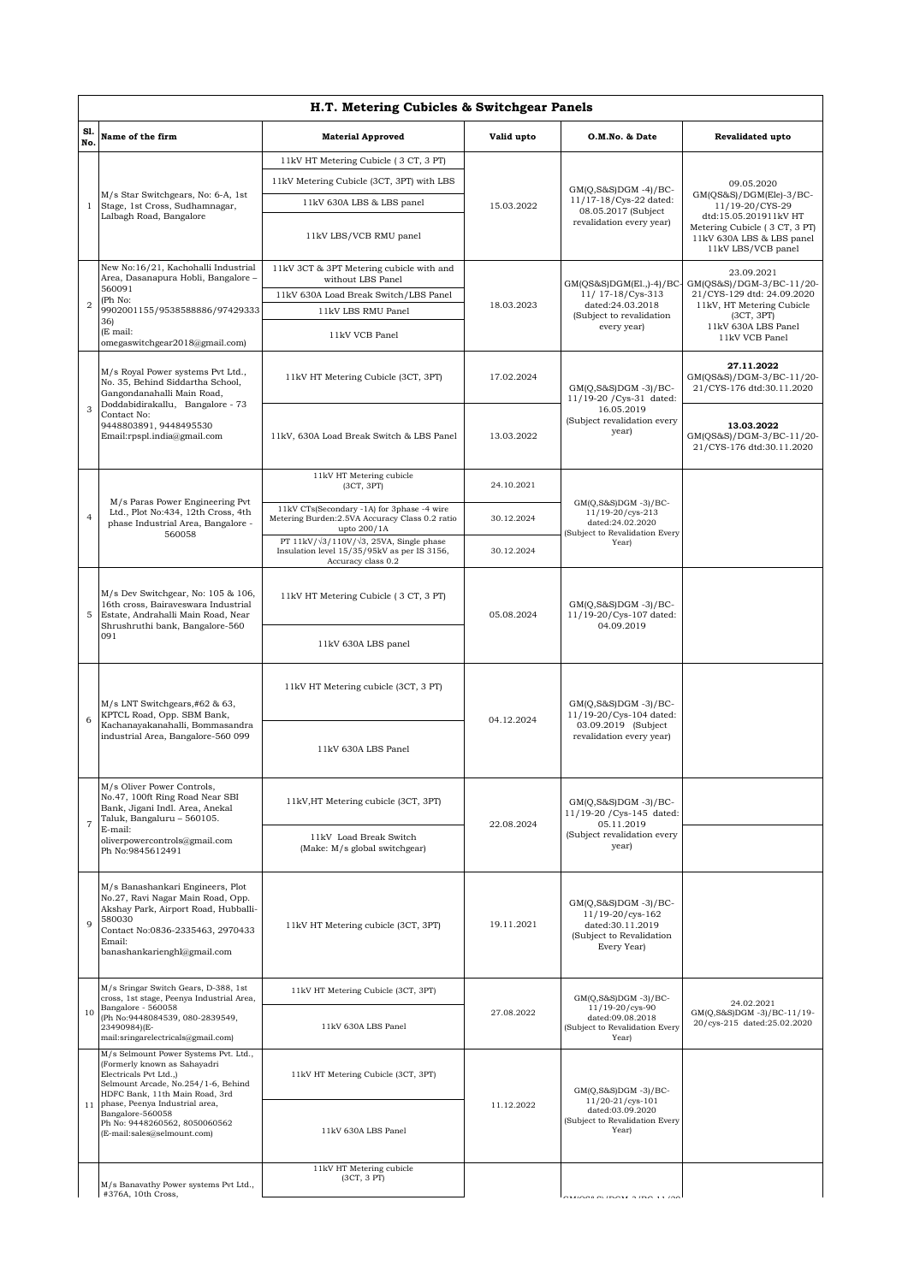| H.T. Metering Cubicles & Switchgear Panels |                                                                                                                                                                                                                                                                                                |                                                                                                                             |            |                                                                                                                 |                                                                                                                                                                       |  |  |  |  |
|--------------------------------------------|------------------------------------------------------------------------------------------------------------------------------------------------------------------------------------------------------------------------------------------------------------------------------------------------|-----------------------------------------------------------------------------------------------------------------------------|------------|-----------------------------------------------------------------------------------------------------------------|-----------------------------------------------------------------------------------------------------------------------------------------------------------------------|--|--|--|--|
| S1.<br>No.                                 | Name of the firm                                                                                                                                                                                                                                                                               | <b>Material Approved</b>                                                                                                    | Valid upto | O.M.No. & Date                                                                                                  | Revalidated upto                                                                                                                                                      |  |  |  |  |
|                                            | M/s Star Switchgears, No: 6-A, 1st<br>Stage, 1st Cross, Sudhamnagar,<br>Lalbagh Road, Bangalore                                                                                                                                                                                                | 11kV HT Metering Cubicle (3 CT, 3 PT)                                                                                       | 15.03.2022 | $GM(Q, S&S)DGM -4)/BC$ -<br>11/17-18/Cys-22 dated:<br>08.05.2017 (Subject<br>revalidation every year)           |                                                                                                                                                                       |  |  |  |  |
| 1                                          |                                                                                                                                                                                                                                                                                                | 11kV Metering Cubicle (3CT, 3PT) with LBS                                                                                   |            |                                                                                                                 | 09.05.2020<br>GM(QS&S)/DGM(Ele)-3/BC-<br>11/19-20/CYS-29<br>dtd:15.05.201911kV HT<br>Metering Cubicle (3 CT, 3 PT)<br>11kV 630A LBS & LBS panel<br>11kV LBS/VCB panel |  |  |  |  |
|                                            |                                                                                                                                                                                                                                                                                                | 11kV 630A LBS & LBS panel                                                                                                   |            |                                                                                                                 |                                                                                                                                                                       |  |  |  |  |
|                                            |                                                                                                                                                                                                                                                                                                | 11kV LBS/VCB RMU panel                                                                                                      |            |                                                                                                                 |                                                                                                                                                                       |  |  |  |  |
| $\overline{2}$                             | New No:16/21, Kachohalli Industrial<br>Area, Dasanapura Hobli, Bangalore -<br>560091<br>(Ph No:<br>9902001155/9538588886/97429333<br>36)<br>(E mail:                                                                                                                                           | 11kV 3CT & 3PT Metering cubicle with and                                                                                    |            | $GM(QS&S)DGM(E1.,-4)/BC$<br>11/ 17-18/Cys-313<br>dated:24.03.2018<br>(Subject to revalidation<br>every year)    | 23.09.2021<br>GM(QS&S)/DGM-3/BC-11/20-<br>21/CYS-129 dtd: 24.09.2020<br>11kV, HT Metering Cubicle<br>(3CT, 3PT)                                                       |  |  |  |  |
|                                            |                                                                                                                                                                                                                                                                                                | without LBS Panel<br>11kV 630A Load Break Switch/LBS Panel                                                                  |            |                                                                                                                 |                                                                                                                                                                       |  |  |  |  |
|                                            |                                                                                                                                                                                                                                                                                                | 11kV LBS RMU Panel                                                                                                          | 18.03.2023 |                                                                                                                 |                                                                                                                                                                       |  |  |  |  |
|                                            |                                                                                                                                                                                                                                                                                                |                                                                                                                             |            |                                                                                                                 | 11kV 630A LBS Panel                                                                                                                                                   |  |  |  |  |
|                                            | omegaswitchgear2018@gmail.com)                                                                                                                                                                                                                                                                 | 11kV VCB Panel                                                                                                              |            |                                                                                                                 | 11kV VCB Panel                                                                                                                                                        |  |  |  |  |
| 3                                          | M/s Royal Power systems Pvt Ltd.,<br>No. 35, Behind Siddartha School,<br>Gangondanahalli Main Road,<br>Doddabidirakallu, Bangalore - 73<br>Contact No:<br>9448803891, 9448495530<br>Email:rpspl.india@gmail.com                                                                                | 11kV HT Metering Cubicle (3CT, 3PT)                                                                                         | 17.02.2024 | $GM(Q,S&S)DGM -3)/BC-$<br>11/19-20 / Cys-31 dated:<br>16.05.2019<br>(Subject revalidation every<br>year)        | 27.11.2022<br>GM(QS&S)/DGM-3/BC-11/20-<br>21/CYS-176 dtd:30.11.2020                                                                                                   |  |  |  |  |
|                                            |                                                                                                                                                                                                                                                                                                | 11kV, 630A Load Break Switch & LBS Panel                                                                                    | 13.03.2022 |                                                                                                                 | 13.03.2022<br>GM(QS&S)/DGM-3/BC-11/20-<br>21/CYS-176 dtd:30.11.2020                                                                                                   |  |  |  |  |
|                                            |                                                                                                                                                                                                                                                                                                | 11kV HT Metering cubicle<br>(3CT, 3PT)                                                                                      | 24.10.2021 |                                                                                                                 |                                                                                                                                                                       |  |  |  |  |
|                                            | M/s Paras Power Engineering Pvt<br>Ltd., Plot No:434, 12th Cross, 4th<br>phase Industrial Area, Bangalore -<br>560058                                                                                                                                                                          |                                                                                                                             |            | GM(Q,S&S)DGM -3)/BC-                                                                                            |                                                                                                                                                                       |  |  |  |  |
| $\overline{4}$                             |                                                                                                                                                                                                                                                                                                | 11kV CTs(Secondary -1A) for 3phase -4 wire<br>Metering Burden: 2.5VA Accuracy Class 0.2 ratio<br>upto 200/1A                | 30.12.2024 | $11/19 - 20/cys - 213$<br>dated:24.02.2020<br>(Subject to Revalidation Every<br>Year)                           |                                                                                                                                                                       |  |  |  |  |
|                                            |                                                                                                                                                                                                                                                                                                | PT 11kV/ $\sqrt{3}/110V/\sqrt{3}$ , 25VA, Single phase<br>Insulation level 15/35/95kV as per IS 3156,<br>Accuracy class 0.2 | 30.12.2024 |                                                                                                                 |                                                                                                                                                                       |  |  |  |  |
| 5                                          | M/s Dev Switchgear, No: 105 & 106,<br>16th cross, Bairaveswara Industrial<br>Estate, Andrahalli Main Road, Near<br>Shrushruthi bank, Bangalore-560<br>091                                                                                                                                      | 11kV HT Metering Cubicle (3 CT, 3 PT)                                                                                       | 05.08.2024 | $GM(Q,S&S)DGM -3)/BC-$<br>11/19-20/Cys-107 dated:<br>04.09.2019                                                 |                                                                                                                                                                       |  |  |  |  |
|                                            |                                                                                                                                                                                                                                                                                                | 11kV 630A LBS panel                                                                                                         |            |                                                                                                                 |                                                                                                                                                                       |  |  |  |  |
|                                            | M/s LNT Switchgears,#62 & 63,<br>KPTCL Road, Opp. SBM Bank,<br>Kachanayakanahalli, Bommasandra                                                                                                                                                                                                 | 11kV HT Metering cubicle (3CT, 3 PT)                                                                                        |            | $GM(Q, S&S)DGM -3)/BC-$<br>11/19-20/Cys-104 dated:<br>03.09.2019 (Subject                                       |                                                                                                                                                                       |  |  |  |  |
|                                            |                                                                                                                                                                                                                                                                                                |                                                                                                                             |            |                                                                                                                 |                                                                                                                                                                       |  |  |  |  |
| 6                                          |                                                                                                                                                                                                                                                                                                |                                                                                                                             | 04.12.2024 |                                                                                                                 |                                                                                                                                                                       |  |  |  |  |
|                                            | industrial Area, Bangalore-560 099                                                                                                                                                                                                                                                             | 11kV 630A LBS Panel                                                                                                         |            | revalidation every year)                                                                                        |                                                                                                                                                                       |  |  |  |  |
|                                            |                                                                                                                                                                                                                                                                                                |                                                                                                                             |            |                                                                                                                 |                                                                                                                                                                       |  |  |  |  |
|                                            | M/s Oliver Power Controls,<br>No.47, 100ft Ring Road Near SBI<br>Bank, Jigani Indl. Area, Anekal<br>Taluk, Bangaluru - 560105.<br>E-mail:<br>oliverpowercontrols@gmail.com<br>Ph No: 9845612491                                                                                                | 11kV, HT Metering cubicle (3CT, 3PT)                                                                                        | 22.08.2024 | $GM(Q, S&S)DGM -3)/BC-$<br>11/19-20 / Cys-145 dated:<br>05.11.2019<br>(Subject revalidation every<br>year)      |                                                                                                                                                                       |  |  |  |  |
| $\overline{7}$                             |                                                                                                                                                                                                                                                                                                |                                                                                                                             |            |                                                                                                                 |                                                                                                                                                                       |  |  |  |  |
|                                            |                                                                                                                                                                                                                                                                                                | 11kV Load Break Switch<br>(Make: M/s global switchgear)                                                                     |            |                                                                                                                 |                                                                                                                                                                       |  |  |  |  |
|                                            |                                                                                                                                                                                                                                                                                                |                                                                                                                             |            |                                                                                                                 |                                                                                                                                                                       |  |  |  |  |
| 9                                          | M/s Banashankari Engineers, Plot<br>No.27, Ravi Nagar Main Road, Opp.<br>Akshay Park, Airport Road, Hubballi-<br>580030<br>Contact No:0836-2335463, 2970433<br>Email:<br>banashankarienghl@gmail.com                                                                                           | 11kV HT Metering cubicle (3CT, 3PT)                                                                                         | 19.11.2021 | $GM(Q,S&S)DGM -3)/BC-$<br>11/19-20/cys-162<br>dated:30.11.2019<br>(Subject to Revalidation<br>Every Year)       |                                                                                                                                                                       |  |  |  |  |
| 10                                         | M/s Sringar Switch Gears, D-388, 1st                                                                                                                                                                                                                                                           | 11kV HT Metering Cubicle (3CT, 3PT)                                                                                         | 27.08.2022 | GM(Q,S&S)DGM -3)/BC-<br>11/19-20/cys-90<br>dated:09.08.2018<br>(Subject to Revalidation Every<br>Year)          |                                                                                                                                                                       |  |  |  |  |
|                                            | cross, 1st stage, Peenya Industrial Area,<br>Bangalore - 560058                                                                                                                                                                                                                                |                                                                                                                             |            |                                                                                                                 | 24.02.2021<br>GM(Q,S&S)DGM -3)/BC-11/19-                                                                                                                              |  |  |  |  |
|                                            | (Ph No:9448084539, 080-2839549,<br>23490984)(E-<br>mail:sringarelectricals@gmail.com)                                                                                                                                                                                                          | 11kV 630A LBS Panel                                                                                                         |            |                                                                                                                 | 20/cys-215 dated:25.02.2020                                                                                                                                           |  |  |  |  |
| 11                                         | M/s Selmount Power Systems Pvt. Ltd.,<br>(Formerly known as Sahayadri<br>Electricals Pvt Ltd.,)<br>Selmount Arcade, No.254/1-6, Behind<br>HDFC Bank, 11th Main Road, 3rd<br>phase, Peenya Industrial area,<br>Bangalore-560058<br>Ph No: 9448260562, 8050060562<br>(E-mail:sales@selmount.com) | 11kV HT Metering Cubicle (3CT, 3PT)                                                                                         | 11.12.2022 | $GM(Q,S&S)DGM -3)/BC-$<br>$11/20 - 21/cys - 101$<br>dated:03.09.2020<br>(Subject to Revalidation Every<br>Year) |                                                                                                                                                                       |  |  |  |  |
|                                            |                                                                                                                                                                                                                                                                                                | 11kV 630A LBS Panel                                                                                                         |            |                                                                                                                 |                                                                                                                                                                       |  |  |  |  |
|                                            | M/s Banavathy Power systems Pvt Ltd.,                                                                                                                                                                                                                                                          | 11kV HT Metering cubicle<br>(3CT, 3 PT)                                                                                     |            |                                                                                                                 |                                                                                                                                                                       |  |  |  |  |
|                                            | #376A, 10th Cross,                                                                                                                                                                                                                                                                             |                                                                                                                             |            |                                                                                                                 |                                                                                                                                                                       |  |  |  |  |